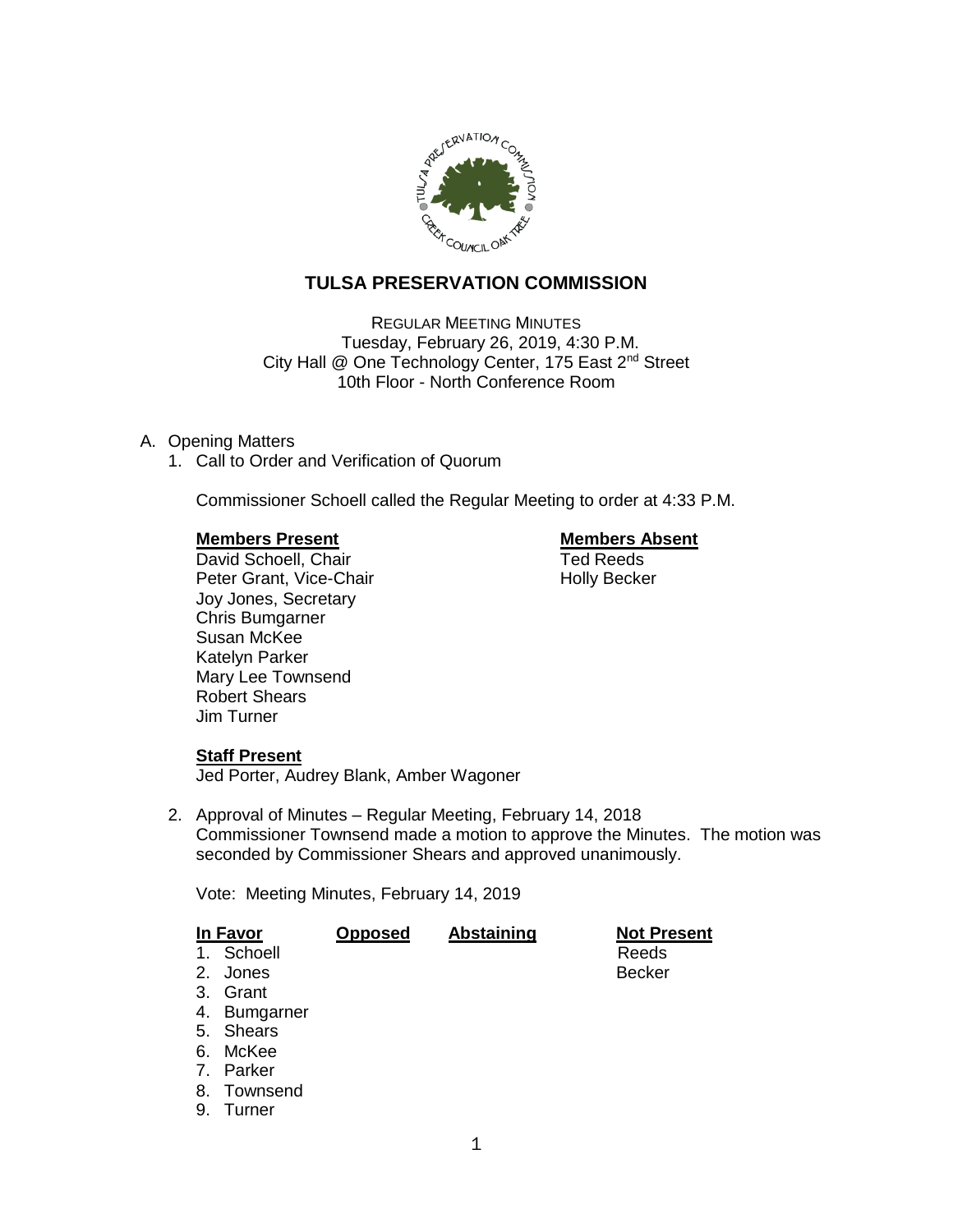

# **TULSA PRESERVATION COMMISSION**

REGULAR MEETING MINUTES Tuesday, February 26, 2019, 4:30 P.M. City Hall @ One Technology Center, 175 East 2<sup>nd</sup> Street 10th Floor - North Conference Room

# A. Opening Matters

1. Call to Order and Verification of Quorum

Commissioner Schoell called the Regular Meeting to order at 4:33 P.M.

**Members Present Nembers Absent Constructed Absent Absent Prediction**<br>
David Schoell. Chair David Schoell, Chair Peter Grant, Vice-Chair Noter Holly Becker Joy Jones, Secretary Chris Bumgarner Susan McKee Katelyn Parker Mary Lee Townsend Robert Shears Jim Turner

### **Staff Present**

Jed Porter, Audrey Blank, Amber Wagoner

2. Approval of Minutes – Regular Meeting, February 14, 2018 Commissioner Townsend made a motion to approve the Minutes. The motion was seconded by Commissioner Shears and approved unanimously.

Vote: Meeting Minutes, February 14, 2019

| In Favor       |           | <b>Opposed</b> | <b>Abstaining</b> | <b>Not Present</b> |
|----------------|-----------|----------------|-------------------|--------------------|
| 1.             | Schoell   |                |                   | Reeds              |
| 2.             | Jones     |                |                   | <b>Becker</b>      |
| 3.             | Grant     |                |                   |                    |
| 4.             | Bumgarner |                |                   |                    |
|                | 5. Shears |                |                   |                    |
| 6.             | McKee     |                |                   |                    |
| 7 <sub>1</sub> | Parker    |                |                   |                    |
| 8.             | Townsend  |                |                   |                    |
| 9.             | Turner    |                |                   |                    |
|                |           |                |                   |                    |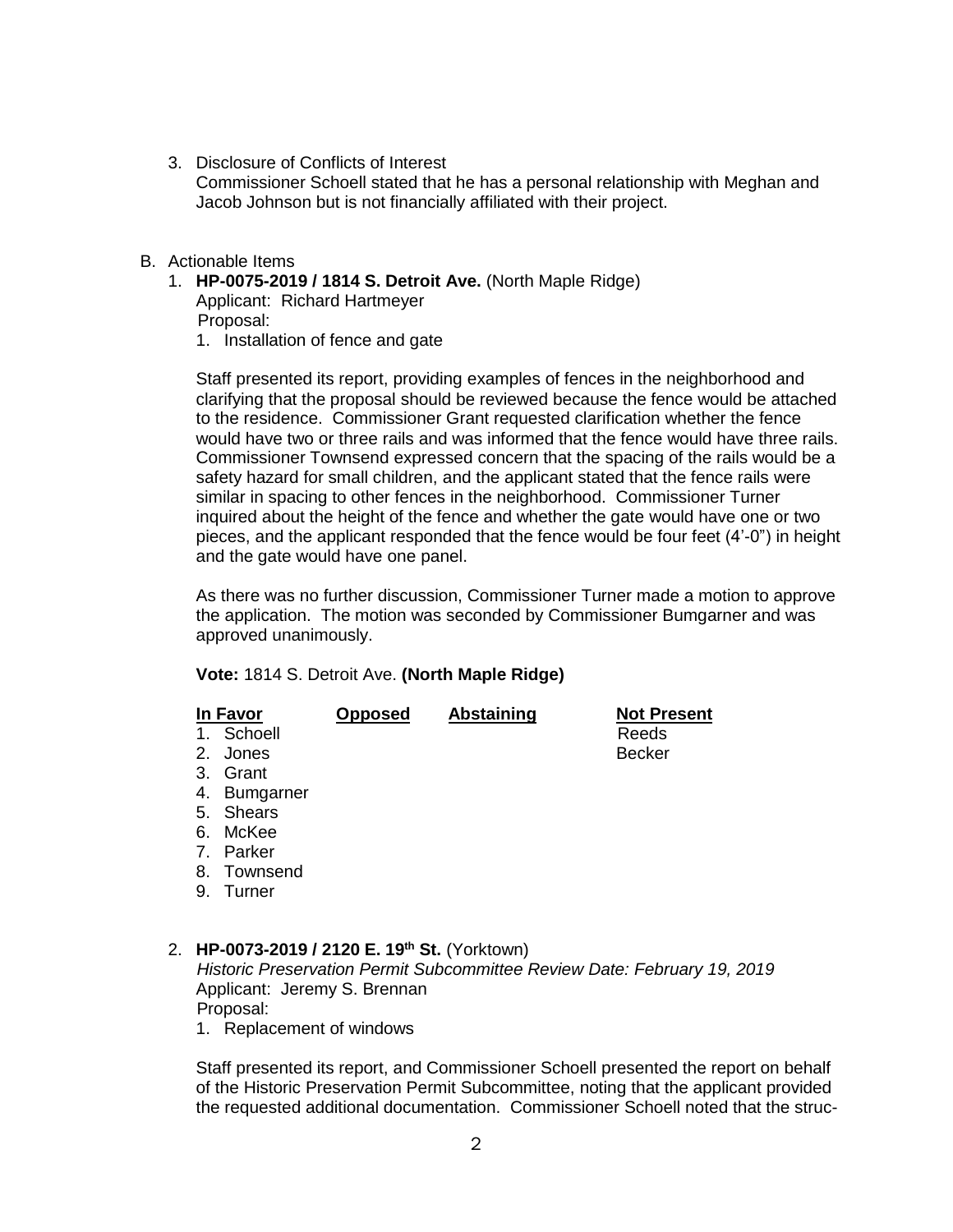- 3. Disclosure of Conflicts of Interest Commissioner Schoell stated that he has a personal relationship with Meghan and Jacob Johnson but is not financially affiliated with their project.
- B. Actionable Items
	- 1. **HP-0075-2019 / 1814 S. Detroit Ave.** (North Maple Ridge)

Applicant: Richard Hartmeyer Proposal:

1. Installation of fence and gate

Staff presented its report, providing examples of fences in the neighborhood and clarifying that the proposal should be reviewed because the fence would be attached to the residence. Commissioner Grant requested clarification whether the fence would have two or three rails and was informed that the fence would have three rails. Commissioner Townsend expressed concern that the spacing of the rails would be a safety hazard for small children, and the applicant stated that the fence rails were similar in spacing to other fences in the neighborhood. Commissioner Turner inquired about the height of the fence and whether the gate would have one or two pieces, and the applicant responded that the fence would be four feet (4'-0") in height and the gate would have one panel.

As there was no further discussion, Commissioner Turner made a motion to approve the application. The motion was seconded by Commissioner Bumgarner and was approved unanimously.

### **Vote:** 1814 S. Detroit Ave. **(North Maple Ridge)**

| In Favor<br>1. Schoell<br>2. Jones<br>3. Grant<br>4. Bumgarner<br>5. Shears<br>6. McKee<br>7. Parker<br>8. Townsend | <b>Opposed</b> | Abstaining | <b>Not Present</b><br>Reeds<br><b>Becker</b> |
|---------------------------------------------------------------------------------------------------------------------|----------------|------------|----------------------------------------------|
|                                                                                                                     |                |            |                                              |
|                                                                                                                     |                |            |                                              |
| 9. Turner                                                                                                           |                |            |                                              |

# 2. **HP-0073-2019 / 2120 E. 19th St.** (Yorktown)

*Historic Preservation Permit Subcommittee Review Date: February 19, 2019* Applicant: Jeremy S. Brennan Proposal:

1. Replacement of windows

Staff presented its report, and Commissioner Schoell presented the report on behalf of the Historic Preservation Permit Subcommittee, noting that the applicant provided the requested additional documentation. Commissioner Schoell noted that the struc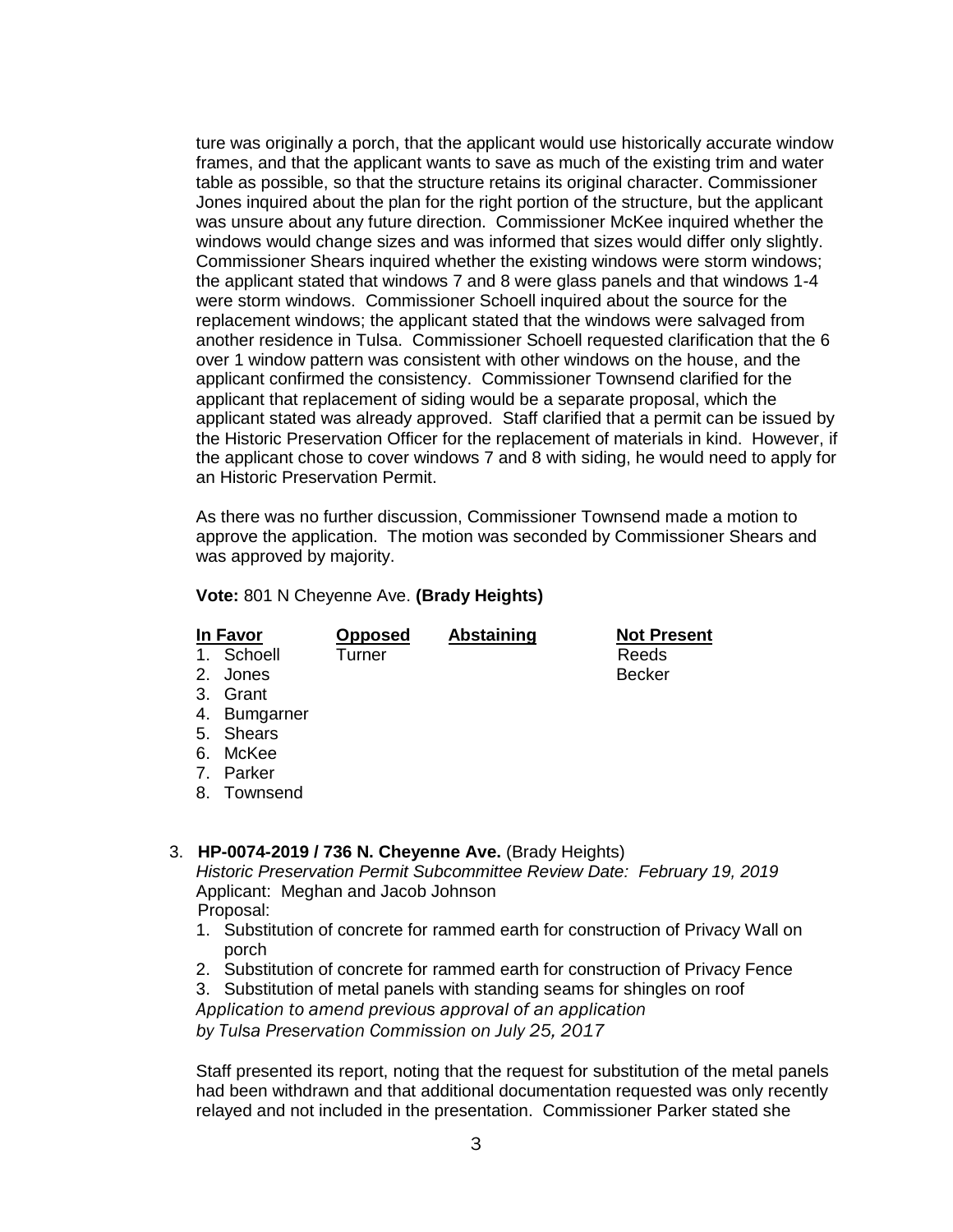ture was originally a porch, that the applicant would use historically accurate window frames, and that the applicant wants to save as much of the existing trim and water table as possible, so that the structure retains its original character. Commissioner Jones inquired about the plan for the right portion of the structure, but the applicant was unsure about any future direction. Commissioner McKee inquired whether the windows would change sizes and was informed that sizes would differ only slightly. Commissioner Shears inquired whether the existing windows were storm windows; the applicant stated that windows 7 and 8 were glass panels and that windows 1-4 were storm windows. Commissioner Schoell inquired about the source for the replacement windows; the applicant stated that the windows were salvaged from another residence in Tulsa. Commissioner Schoell requested clarification that the 6 over 1 window pattern was consistent with other windows on the house, and the applicant confirmed the consistency. Commissioner Townsend clarified for the applicant that replacement of siding would be a separate proposal, which the applicant stated was already approved. Staff clarified that a permit can be issued by the Historic Preservation Officer for the replacement of materials in kind. However, if the applicant chose to cover windows 7 and 8 with siding, he would need to apply for an Historic Preservation Permit.

As there was no further discussion, Commissioner Townsend made a motion to approve the application. The motion was seconded by Commissioner Shears and was approved by majority.

**Vote:** 801 N Cheyenne Ave. **(Brady Heights)**

| In Favor                                                  | <b>Opposed</b> | <b>Abstaining</b> | <b>Not Present</b> |  |
|-----------------------------------------------------------|----------------|-------------------|--------------------|--|
| Schoell<br>1.                                             | Turner         |                   | Reeds              |  |
| 2.<br>Jones                                               |                |                   | <b>Becker</b>      |  |
| 3. Grant                                                  |                |                   |                    |  |
| 4. Bumgarner                                              |                |                   |                    |  |
| 5. Shears                                                 |                |                   |                    |  |
| McKee<br>6.                                               |                |                   |                    |  |
| Parker<br>$7_{-}$                                         |                |                   |                    |  |
| 8. Townsend                                               |                |                   |                    |  |
|                                                           |                |                   |                    |  |
| HP-0074-2019 / 736 N. Cheyenne Ave. (Brady Heights)<br>3. |                |                   |                    |  |

*Historic Preservation Permit Subcommittee Review Date: February 19, 2019* Applicant: Meghan and Jacob Johnson Proposal:

- 1. Substitution of concrete for rammed earth for construction of Privacy Wall on porch
- 2. Substitution of concrete for rammed earth for construction of Privacy Fence

3. Substitution of metal panels with standing seams for shingles on roof *Application to amend previous approval of an application by Tulsa Preservation Commission on July 25, 2017*

Staff presented its report, noting that the request for substitution of the metal panels had been withdrawn and that additional documentation requested was only recently relayed and not included in the presentation. Commissioner Parker stated she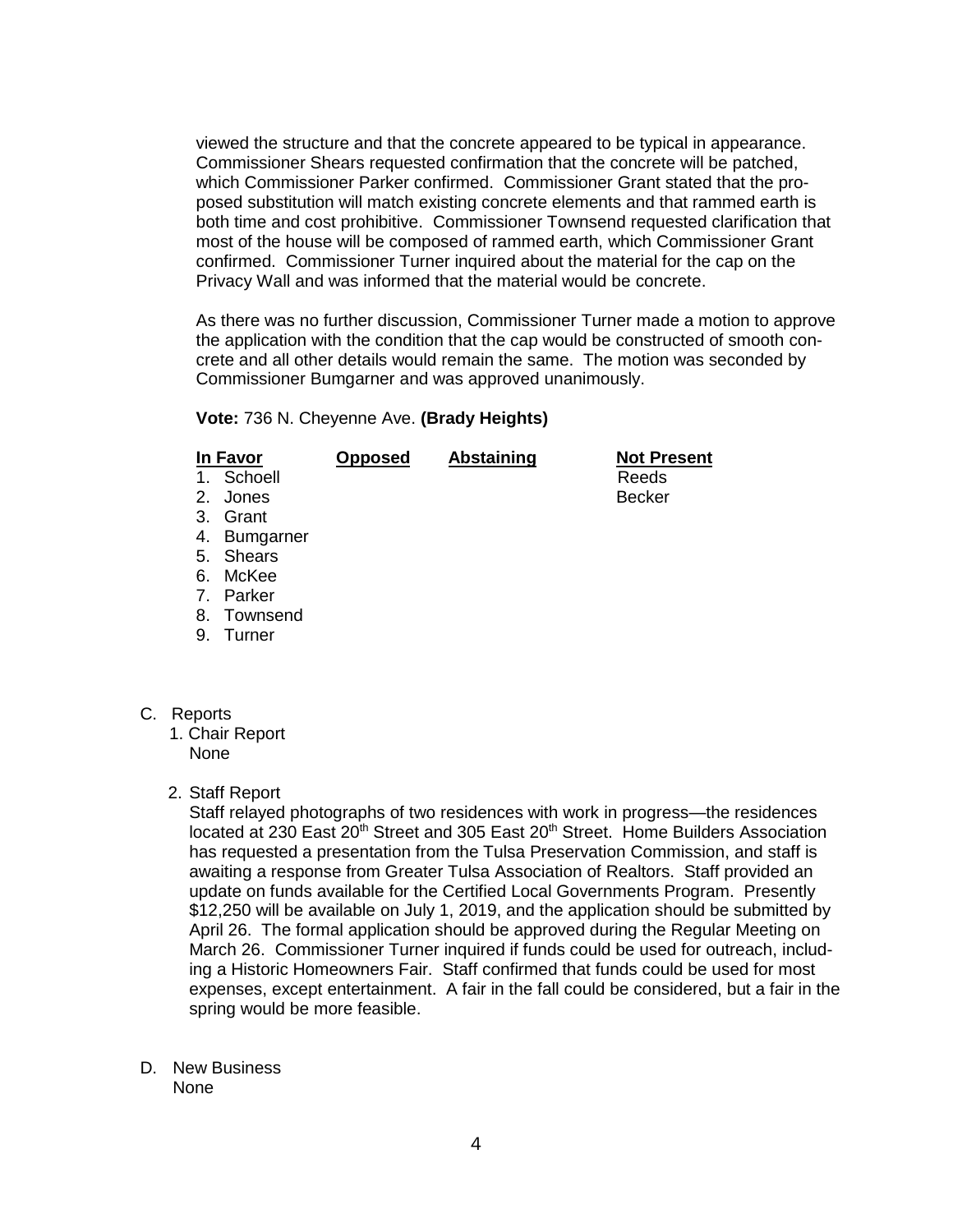viewed the structure and that the concrete appeared to be typical in appearance. Commissioner Shears requested confirmation that the concrete will be patched, which Commissioner Parker confirmed. Commissioner Grant stated that the proposed substitution will match existing concrete elements and that rammed earth is both time and cost prohibitive. Commissioner Townsend requested clarification that most of the house will be composed of rammed earth, which Commissioner Grant confirmed. Commissioner Turner inquired about the material for the cap on the Privacy Wall and was informed that the material would be concrete.

As there was no further discussion, Commissioner Turner made a motion to approve the application with the condition that the cap would be constructed of smooth concrete and all other details would remain the same. The motion was seconded by Commissioner Bumgarner and was approved unanimously.

### **Vote:** 736 N. Cheyenne Ave. **(Brady Heights)**

| In Favor |              | <b>Opposed</b> | Abstaining | <b>Not Present</b> |
|----------|--------------|----------------|------------|--------------------|
|          | 1. Schoell   |                |            | Reeds              |
|          | 2. Jones     |                |            | <b>Becker</b>      |
|          | 3. Grant     |                |            |                    |
|          | 4. Bumgarner |                |            |                    |
|          | 5. Shears    |                |            |                    |
|          | 6. McKee     |                |            |                    |
|          | 7. Parker    |                |            |                    |
|          | 8. Townsend  |                |            |                    |

9. Turner

C. Reports

- 1. Chair Report None
- 2. Staff Report

Staff relayed photographs of two residences with work in progress—the residences located at 230 East 20<sup>th</sup> Street and 305 East 20<sup>th</sup> Street. Home Builders Association has requested a presentation from the Tulsa Preservation Commission, and staff is awaiting a response from Greater Tulsa Association of Realtors. Staff provided an update on funds available for the Certified Local Governments Program. Presently \$12,250 will be available on July 1, 2019, and the application should be submitted by April 26. The formal application should be approved during the Regular Meeting on March 26. Commissioner Turner inquired if funds could be used for outreach, including a Historic Homeowners Fair. Staff confirmed that funds could be used for most expenses, except entertainment. A fair in the fall could be considered, but a fair in the spring would be more feasible.

D. New Business None